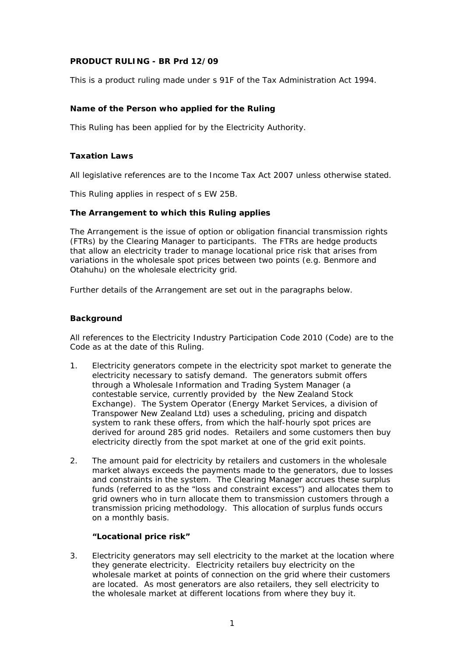## **PRODUCT RULING - BR Prd 12/09**

This is a product ruling made under s 91F of the Tax Administration Act 1994.

## **Name of the Person who applied for the Ruling**

This Ruling has been applied for by the Electricity Authority.

## **Taxation Laws**

All legislative references are to the Income Tax Act 2007 unless otherwise stated.

This Ruling applies in respect of s EW 25B.

## **The Arrangement to which this Ruling applies**

The Arrangement is the issue of option or obligation financial transmission rights (FTRs) by the Clearing Manager to participants. The FTRs are hedge products that allow an electricity trader to manage locational price risk that arises from variations in the wholesale spot prices between two points (e.g. Benmore and Otahuhu) on the wholesale electricity grid.

Further details of the Arrangement are set out in the paragraphs below.

## **Background**

All references to the Electricity Industry Participation Code 2010 (Code) are to the Code as at the date of this Ruling.

- 1. Electricity generators compete in the electricity spot market to generate the electricity necessary to satisfy demand. The generators submit offers through a Wholesale Information and Trading System Manager (a contestable service, currently provided by the New Zealand Stock Exchange). The System Operator (Energy Market Services, a division of Transpower New Zealand Ltd) uses a scheduling, pricing and dispatch system to rank these offers, from which the half-hourly spot prices are derived for around 285 grid nodes. Retailers and some customers then buy electricity directly from the spot market at one of the grid exit points.
- 2. The amount paid for electricity by retailers and customers in the wholesale market always exceeds the payments made to the generators, due to losses and constraints in the system. The Clearing Manager accrues these surplus funds (referred to as the "loss and constraint excess") and allocates them to grid owners who in turn allocate them to transmission customers through a transmission pricing methodology. This allocation of surplus funds occurs on a monthly basis.

## *"Locational price risk"*

3. Electricity generators may sell electricity to the market at the location where they generate electricity. Electricity retailers buy electricity on the wholesale market at points of connection on the grid where their customers are located. As most generators are also retailers, they sell electricity to the wholesale market at different locations from where they buy it.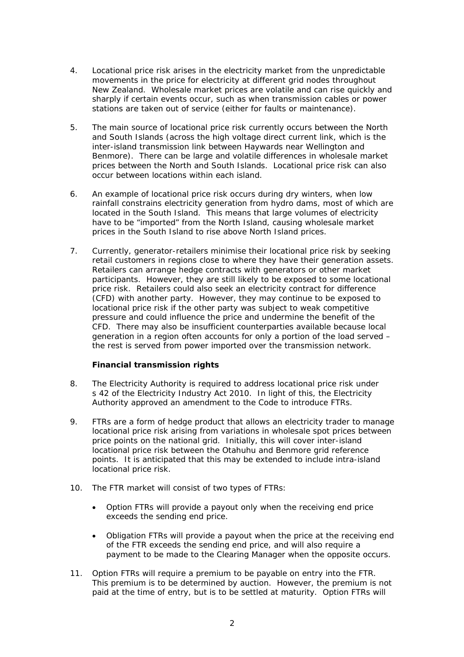- 4. Locational price risk arises in the electricity market from the unpredictable movements in the price for electricity at different grid nodes throughout New Zealand. Wholesale market prices are volatile and can rise quickly and sharply if certain events occur, such as when transmission cables or power stations are taken out of service (either for faults or maintenance).
- 5. The main source of locational price risk currently occurs between the North and South Islands (across the high voltage direct current link, which is the inter-island transmission link between Haywards near Wellington and Benmore). There can be large and volatile differences in wholesale market prices between the North and South Islands. Locational price risk can also occur between locations within each island.
- 6. An example of locational price risk occurs during dry winters, when low rainfall constrains electricity generation from hydro dams, most of which are located in the South Island. This means that large volumes of electricity have to be "imported" from the North Island, causing wholesale market prices in the South Island to rise above North Island prices.
- 7. Currently, generator-retailers minimise their locational price risk by seeking retail customers in regions close to where they have their generation assets. Retailers can arrange hedge contracts with generators or other market participants. However, they are still likely to be exposed to some locational price risk. Retailers could also seek an electricity contract for difference (CFD) with another party. However, they may continue to be exposed to locational price risk if the other party was subject to weak competitive pressure and could influence the price and undermine the benefit of the CFD. There may also be insufficient counterparties available because local generation in a region often accounts for only a portion of the load served – the rest is served from power imported over the transmission network.

# *Financial transmission rights*

- 8. The Electricity Authority is required to address locational price risk under s 42 of the Electricity Industry Act 2010. In light of this, the Electricity Authority approved an amendment to the Code to introduce FTRs.
- 9. FTRs are a form of hedge product that allows an electricity trader to manage locational price risk arising from variations in wholesale spot prices between price points on the national grid. Initially, this will cover inter-island locational price risk between the Otahuhu and Benmore grid reference points. It is anticipated that this may be extended to include intra-island locational price risk.
- 10. The FTR market will consist of two types of FTRs:
	- Option FTRs will provide a payout only when the receiving end price exceeds the sending end price.
	- Obligation FTRs will provide a payout when the price at the receiving end of the FTR exceeds the sending end price, and will also require a payment to be made to the Clearing Manager when the opposite occurs.
- 11. Option FTRs will require a premium to be payable on entry into the FTR. This premium is to be determined by auction. However, the premium is not paid at the time of entry, but is to be settled at maturity. Option FTRs will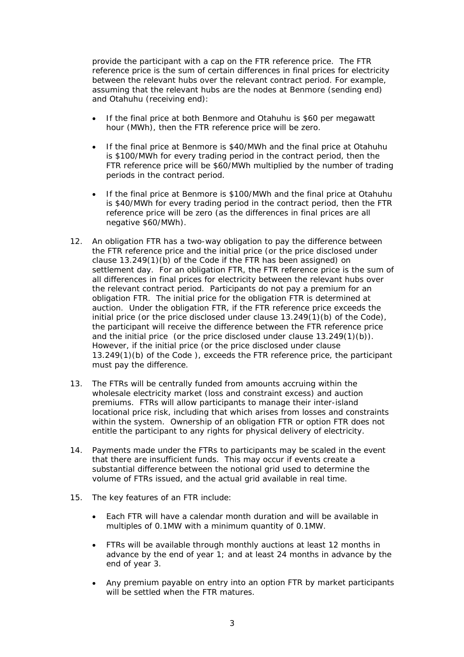provide the participant with a cap on the FTR reference price. The FTR reference price is the sum of certain differences in final prices for electricity between the relevant hubs over the relevant contract period. For example, assuming that the relevant hubs are the nodes at Benmore (sending end) and Otahuhu (receiving end):

- If the final price at both Benmore and Otahuhu is \$60 per megawatt hour (MWh), then the FTR reference price will be zero.
- If the final price at Benmore is \$40/MWh and the final price at Otahuhu is \$100/MWh for every trading period in the contract period, then the FTR reference price will be \$60/MWh multiplied by the number of trading periods in the contract period.
- If the final price at Benmore is \$100/MWh and the final price at Otahuhu is \$40/MWh for every trading period in the contract period, then the FTR reference price will be zero (as the differences in final prices are all negative \$60/MWh).
- 12. An obligation FTR has a two-way obligation to pay the difference between the FTR reference price and the initial price (or the price disclosed under clause 13.249(1)(b) of the Code if the FTR has been assigned) on settlement day. For an obligation FTR, the FTR reference price is the sum of all differences in final prices for electricity between the relevant hubs over the relevant contract period. Participants do not pay a premium for an obligation FTR. The initial price for the obligation FTR is determined at auction. Under the obligation FTR, if the FTR reference price exceeds the initial price (or the price disclosed under clause 13.249(1)(b) of the Code), the participant will receive the difference between the FTR reference price and the initial price (or the price disclosed under clause 13.249(1)(b)). However, if the initial price (or the price disclosed under clause 13.249(1)(b) of the Code ), exceeds the FTR reference price, the participant must pay the difference.
- 13. The FTRs will be centrally funded from amounts accruing within the wholesale electricity market (loss and constraint excess) and auction premiums. FTRs will allow participants to manage their inter-island locational price risk, including that which arises from losses and constraints within the system. Ownership of an obligation FTR or option FTR does not entitle the participant to any rights for physical delivery of electricity.
- 14. Payments made under the FTRs to participants may be scaled in the event that there are insufficient funds. This may occur if events create a substantial difference between the notional grid used to determine the volume of FTRs issued, and the actual grid available in real time.
- 15. The key features of an FTR include:
	- Each FTR will have a calendar month duration and will be available in multiples of 0.1MW with a minimum quantity of 0.1MW.
	- FTRs will be available through monthly auctions at least 12 months in advance by the end of year 1; and at least 24 months in advance by the end of year 3.
	- Any premium payable on entry into an option FTR by market participants will be settled when the FTR matures.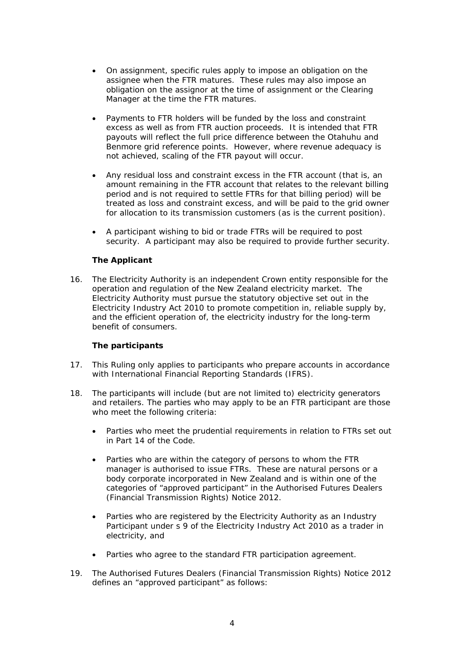- On assignment, specific rules apply to impose an obligation on the assignee when the FTR matures. These rules may also impose an obligation on the assignor at the time of assignment or the Clearing Manager at the time the FTR matures.
- Payments to FTR holders will be funded by the loss and constraint excess as well as from FTR auction proceeds. It is intended that FTR payouts will reflect the full price difference between the Otahuhu and Benmore grid reference points. However, where revenue adequacy is not achieved, scaling of the FTR payout will occur.
- Any residual loss and constraint excess in the FTR account (that is, an amount remaining in the FTR account that relates to the relevant billing period and is not required to settle FTRs for that billing period) will be treated as loss and constraint excess, and will be paid to the grid owner for allocation to its transmission customers (as is the current position).
- A participant wishing to bid or trade FTRs will be required to post security. A participant may also be required to provide further security.

## *The Applicant*

16. The Electricity Authority is an independent Crown entity responsible for the operation and regulation of the New Zealand electricity market. The Electricity Authority must pursue the statutory objective set out in the Electricity Industry Act 2010 to promote competition in, reliable supply by, and the efficient operation of, the electricity industry for the long-term benefit of consumers.

## *The participants*

- 17. This Ruling only applies to participants who prepare accounts in accordance with International Financial Reporting Standards (IFRS).
- 18. The participants will include (but are not limited to) electricity generators and retailers. The parties who may apply to be an FTR participant are those who meet the following criteria:
	- Parties who meet the prudential requirements in relation to FTRs set out in Part 14 of the Code.
	- Parties who are within the category of persons to whom the FTR manager is authorised to issue FTRs. These are natural persons or a body corporate incorporated in New Zealand and is within one of the categories of "approved participant" in the Authorised Futures Dealers (Financial Transmission Rights) Notice 2012.
	- Parties who are registered by the Electricity Authority as an Industry Participant under s 9 of the Electricity Industry Act 2010 as a trader in electricity, and
	- Parties who agree to the standard FTR participation agreement.
- 19. The Authorised Futures Dealers (Financial Transmission Rights) Notice 2012 defines an "approved participant" as follows: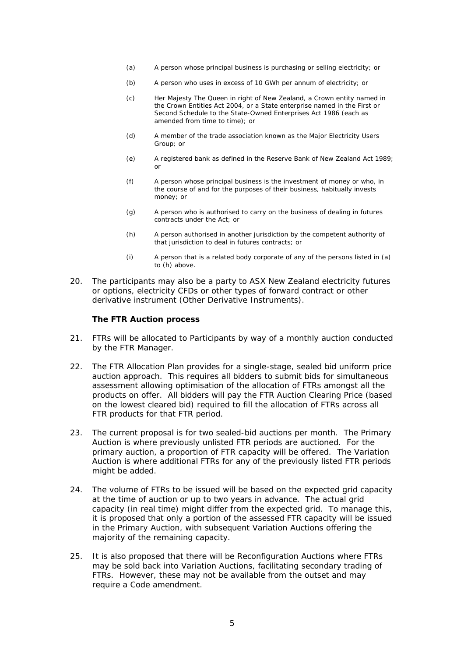- (a) A person whose principal business is purchasing or selling electricity; or
- (b) A person who uses in excess of 10 GWh per annum of electricity; or
- (c) Her Majesty The Queen in right of New Zealand, a Crown entity named in the Crown Entities Act 2004, or a State enterprise named in the First or Second Schedule to the State-Owned Enterprises Act 1986 (each as amended from time to time); or
- (d) A member of the trade association known as the Major Electricity Users Group; or
- (e) A registered bank as defined in the Reserve Bank of New Zealand Act 1989; or
- (f) A person whose principal business is the investment of money or who, in the course of and for the purposes of their business, habitually invests money; or
- (g) A person who is authorised to carry on the business of dealing in futures contracts under the Act; or
- (h) A person authorised in another jurisdiction by the competent authority of that jurisdiction to deal in futures contracts; or
- (i) A person that is a related body corporate of any of the persons listed in (a) to (h) above.
- 20. The participants may also be a party to ASX New Zealand electricity futures or options, electricity CFDs or other types of forward contract or other derivative instrument (Other Derivative Instruments).

#### *The FTR Auction process*

- 21. FTRs will be allocated to Participants by way of a monthly auction conducted by the FTR Manager.
- 22. The FTR Allocation Plan provides for a single-stage, sealed bid uniform price auction approach. This requires all bidders to submit bids for simultaneous assessment allowing optimisation of the allocation of FTRs amongst all the products on offer. All bidders will pay the FTR Auction Clearing Price (based on the lowest cleared bid) required to fill the allocation of FTRs across all FTR products for that FTR period.
- 23. The current proposal is for two sealed-bid auctions per month. The Primary Auction is where previously unlisted FTR periods are auctioned. For the primary auction, a proportion of FTR capacity will be offered. The Variation Auction is where additional FTRs for any of the previously listed FTR periods might be added.
- 24. The volume of FTRs to be issued will be based on the expected grid capacity at the time of auction or up to two years in advance. The actual grid capacity (in real time) might differ from the expected grid. To manage this, it is proposed that only a portion of the assessed FTR capacity will be issued in the Primary Auction, with subsequent Variation Auctions offering the majority of the remaining capacity.
- 25. It is also proposed that there will be Reconfiguration Auctions where FTRs may be sold back into Variation Auctions, facilitating secondary trading of FTRs. However, these may not be available from the outset and may require a Code amendment.